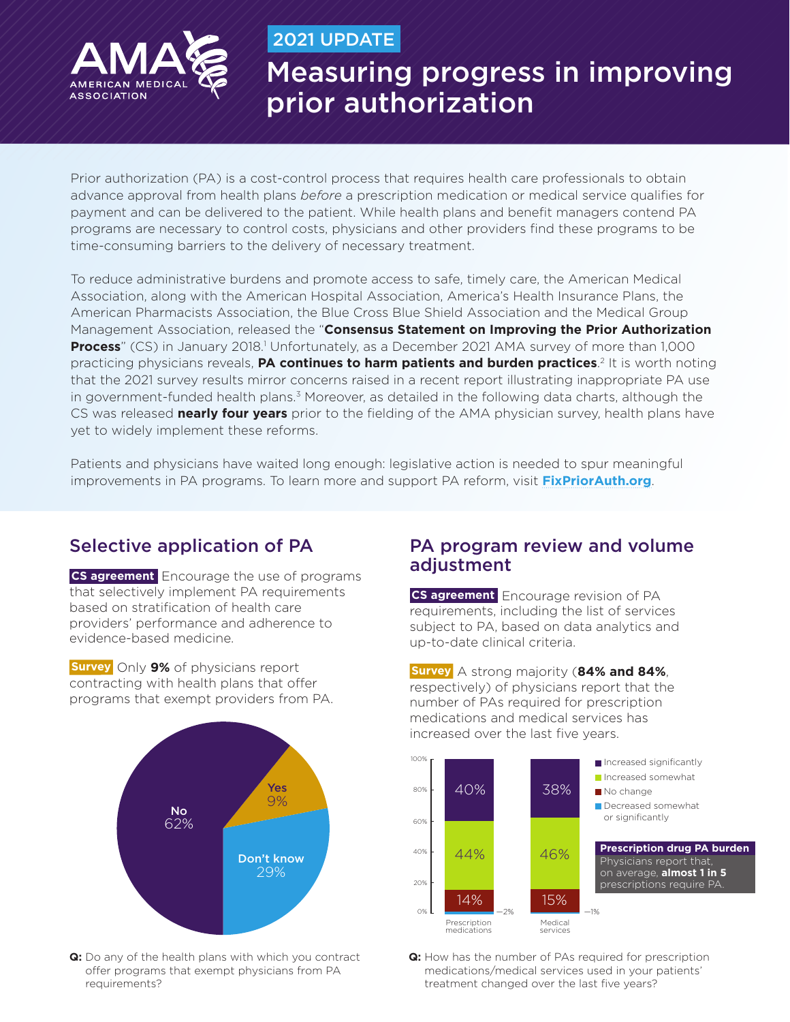

## 2021 UPDATE

# Measuring progress in improving prior authorization

Prior authorization (PA) is a cost-control process that requires health care professionals to obtain advance approval from health plans *before* a prescription medication or medical service qualifies for payment and can be delivered to the patient. While health plans and benefit managers contend PA programs are necessary to control costs, physicians and other providers find these programs to be time-consuming barriers to the delivery of necessary treatment.

To reduce administrative burdens and promote access to safe, timely care, the American Medical Association, along with the American Hospital Association, America's Health Insurance Plans, the American Pharmacists Association, the Blue Cross Blue Shield Association and the Medical Group Management Association, released the "**Consensus Statement on Improving the Prior Authorization**  Process" (CS) in January 2018.<sup>1</sup> Unfortunately, as a December 2021 AMA survey of more than 1,000 practicing physicians reveals, **PA continues to harm patients and burden practices**.<sup>2</sup> It is worth noting that the 2021 survey results mirror concerns raised in a recent report illustrating inappropriate PA use in government-funded health plans.<sup>3</sup> Moreover, as detailed in the following data charts, although the CS was released **nearly four years** prior to the fielding of the AMA physician survey, health plans have yet to widely implement these reforms.

Patients and physicians have waited long enough: legislative action is needed to spur meaningful improvements in PA programs. To learn more and support PA reform, visit **[FixPriorAuth.org](https://fixpriorauth.org/)**.

# Selective application of PA

**CS agreement** Encourage the use of programs that selectively implement PA requirements based on stratification of health care providers' performance and adherence to evidence-based medicine.

**Survey** Only **9%** of physicians report contracting with health plans that offer programs that exempt providers from PA.



**Q:** Do any of the health plans with which you contract offer programs that exempt physicians from PA requirements?

# PA program review and volume adjustment

**CS agreement** Encourage revision of PA requirements, including the list of services subject to PA, based on data analytics and up-to-date clinical criteria.

**Survey** A strong majority (**84% and 84%**, respectively) of physicians report that the number of PAs required for prescription medications and medical services has increased over the last five years.



**Q:** How has the number of PAs required for prescription medications/medical services used in your patients' treatment changed over the last five years?